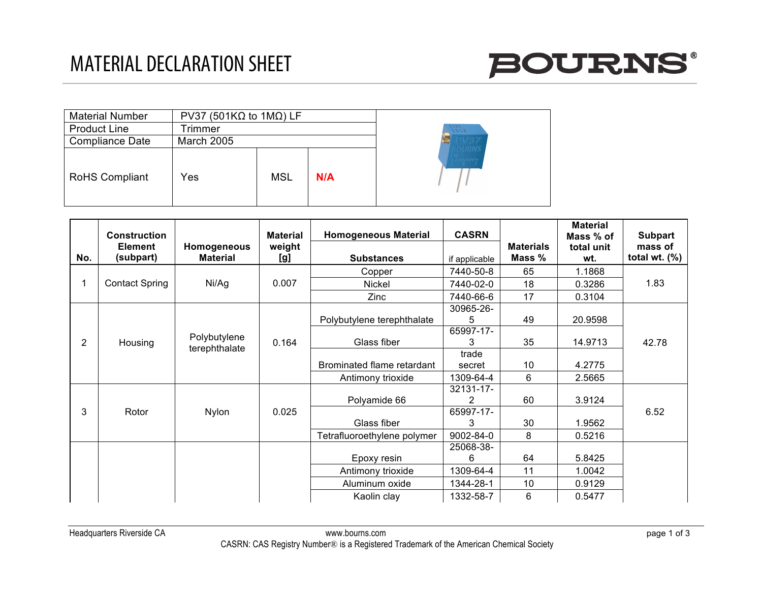

| <b>Material Number</b> | PV37 (501KΩ to 1MΩ) LF |            |              |  |
|------------------------|------------------------|------------|--------------|--|
| <b>Product Line</b>    | <b>Trimmer</b>         |            | 9586<br>1103 |  |
| <b>Compliance Date</b> | <b>March 2005</b>      |            |              |  |
| <b>RoHS Compliant</b>  | Yes                    | <b>MSL</b> | N/A          |  |

|                | <b>Construction</b>   |                               | <b>Material</b> | <b>Homogeneous Material</b> | <b>CASRN</b>  |                  | <b>Material</b><br>Mass % of | <b>Subpart</b>   |
|----------------|-----------------------|-------------------------------|-----------------|-----------------------------|---------------|------------------|------------------------------|------------------|
|                | <b>Element</b>        | Homogeneous                   | weight          |                             |               | <b>Materials</b> | total unit                   | mass of          |
| No.            | (subpart)             | <b>Material</b>               | [g]             | <b>Substances</b>           | if applicable | Mass %           | wt.                          | total wt. $(\%)$ |
|                | <b>Contact Spring</b> | Ni/Ag                         | 0.007           | Copper                      | 7440-50-8     | 65               | 1.1868                       | 1.83             |
|                |                       |                               |                 | <b>Nickel</b>               | 7440-02-0     | 18               | 0.3286                       |                  |
|                |                       |                               |                 | Zinc                        | 7440-66-6     | 17               | 0.3104                       |                  |
| $\overline{2}$ | Housing               | Polybutylene<br>terephthalate | 0.164           |                             | 30965-26-     |                  |                              | 42.78            |
|                |                       |                               |                 | Polybutylene terephthalate  | 5             | 49               | 20.9598                      |                  |
|                |                       |                               |                 |                             | 65997-17-     |                  |                              |                  |
|                |                       |                               |                 | Glass fiber                 | 3             | 35               | 14.9713                      |                  |
|                |                       |                               |                 |                             | trade         |                  |                              |                  |
|                |                       |                               |                 | Brominated flame retardant  | secret        | 10               | 4.2775                       |                  |
|                |                       |                               |                 | Antimony trioxide           | 1309-64-4     | 6                | 2.5665                       |                  |
| 3              | Rotor                 | <b>Nylon</b>                  | 0.025           |                             | 32131-17-     |                  |                              | 6.52             |
|                |                       |                               |                 | Polyamide 66                |               | 60               | 3.9124                       |                  |
|                |                       |                               |                 |                             | 65997-17-     |                  |                              |                  |
|                |                       |                               |                 | Glass fiber                 | 3             | 30               | 1.9562                       |                  |
|                |                       |                               |                 | Tetrafluoroethylene polymer | 9002-84-0     | 8                | 0.5216                       |                  |
|                |                       |                               |                 |                             | 25068-38-     |                  |                              |                  |
|                |                       |                               |                 | Epoxy resin                 | 6             | 64               | 5.8425                       |                  |
|                |                       |                               |                 | Antimony trioxide           | 1309-64-4     | 11               | 1.0042                       |                  |
|                |                       |                               |                 | Aluminum oxide              | 1344-28-1     | 10               | 0.9129                       |                  |
|                |                       |                               |                 | Kaolin clay                 | 1332-58-7     | 6                | 0.5477                       |                  |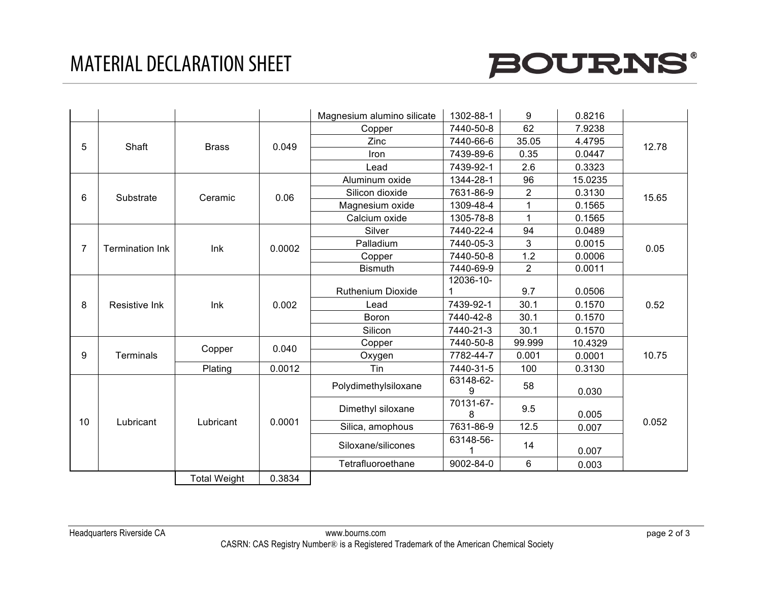## MATERIAL DECLARATION SHEET



|    |                        |                      |                  | Magnesium alumino silicate | 1302-88-1      | 9              | 0.8216  |       |
|----|------------------------|----------------------|------------------|----------------------------|----------------|----------------|---------|-------|
|    |                        |                      |                  | Copper                     | 7440-50-8      | 62             | 7.9238  |       |
| 5  | Shaft                  | <b>Brass</b>         | 0.049            | Zinc                       | 7440-66-6      | 35.05          | 4.4795  | 12.78 |
|    |                        |                      |                  | Iron                       | 7439-89-6      | 0.35           | 0.0447  |       |
| 6  | Substrate              | Ceramic              | 0.06             | Lead                       | 7439-92-1      | 2.6            | 0.3323  |       |
|    |                        |                      |                  | Aluminum oxide             | 1344-28-1      | 96             | 15.0235 |       |
|    |                        |                      |                  | Silicon dioxide            | 7631-86-9      | $\overline{2}$ | 0.3130  | 15.65 |
|    |                        |                      |                  | Magnesium oxide            | 1309-48-4      |                | 0.1565  |       |
| 7  |                        |                      | 0.0002           | Calcium oxide              | 1305-78-8      | 1              | 0.1565  | 0.05  |
|    |                        |                      |                  | Silver                     | 7440-22-4      | 94             | 0.0489  |       |
|    | <b>Termination Ink</b> | Ink                  |                  | Palladium                  | 7440-05-3      | 3              | 0.0015  |       |
|    |                        |                      |                  | Copper                     | 7440-50-8      | 1.2            | 0.0006  |       |
|    | Resistive Ink          | Ink                  | 0.002            | <b>Bismuth</b>             | 7440-69-9      | 2              | 0.0011  | 0.52  |
|    |                        |                      |                  |                            | 12036-10-      |                |         |       |
|    |                        |                      |                  | <b>Ruthenium Dioxide</b>   |                | 9.7            | 0.0506  |       |
| 8  |                        |                      |                  | Lead                       | 7439-92-1      | 30.1           | 0.1570  |       |
|    |                        |                      |                  | Boron                      | 7440-42-8      | 30.1           | 0.1570  |       |
|    |                        |                      |                  | Silicon                    | 7440-21-3      | 30.1           | 0.1570  | 10.75 |
|    | <b>Terminals</b>       | Copper               | 0.040            | Copper                     | 7440-50-8      | 99.999         | 10.4329 |       |
| 9  |                        |                      |                  | Oxygen                     | 7782-44-7      | 0.001          | 0.0001  |       |
| 10 | Lubricant              | Plating<br>Lubricant | 0.0012<br>0.0001 | Tin                        | 7440-31-5      | 100            | 0.3130  | 0.052 |
|    |                        |                      |                  | Polydimethylsiloxane       | 63148-62-<br>9 | 58             | 0.030   |       |
|    |                        |                      |                  | Dimethyl siloxane          | 70131-67-<br>8 | 9.5            | 0.005   |       |
|    |                        |                      |                  | Silica, amophous           | 7631-86-9      | 12.5           | 0.007   |       |
|    |                        |                      |                  | Siloxane/silicones         | 63148-56-      | 14             | 0.007   |       |
|    |                        |                      |                  | Tetrafluoroethane          | 9002-84-0      | 6              | 0.003   |       |
|    |                        | <b>Total Weight</b>  | 0.3834           |                            |                |                |         |       |